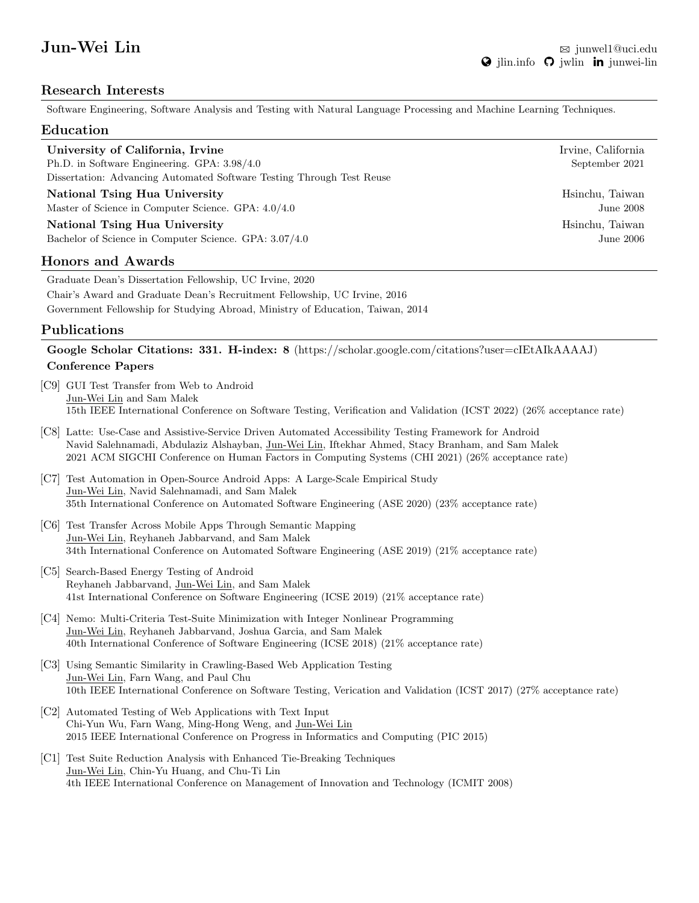# Research Interests

Software Engineering, Software Analysis and Testing with Natural Language Processing and Machine Learning Techniques.

## Education

| University of California, Irvine                                      | Irvine, California |
|-----------------------------------------------------------------------|--------------------|
| Ph.D. in Software Engineering. GPA: 3.98/4.0                          | September 2021     |
| Dissertation: Advancing Automated Software Testing Through Test Reuse |                    |
| National Tsing Hua University                                         | Hsinchu, Taiwan    |
| Master of Science in Computer Science. GPA: $4.0/4.0$                 | June 2008          |

National Tsing Hua University **History Accord 1997** Hotel Assembly History History History History History History History History History History History History History History History History History History History His Bachelor of Science in Computer Science. GPA:  $3.07/4.0$  June 2006

#### Honors and Awards

Graduate Dean's Dissertation Fellowship, UC Irvine, 2020 Chair's Award and Graduate Dean's Recruitment Fellowship, UC Irvine, 2016 Government Fellowship for Studying Abroad, Ministry of Education, Taiwan, 2014

# Publications

Google Scholar Citations: 331. H-index: 8 [\(https://scholar.google.com/citations?user=cIEtAIkAAAAJ\)](https://scholar.google.com/citations?user=cIEtAIkAAAAJ) Conference Papers

- [C9] GUI Test Transfer from Web to Android Jun-Wei Lin and Sam Malek 15th IEEE International Conference on Software Testing, Verification and Validation (ICST 2022) (26% acceptance rate)
- [C8] Latte: Use-Case and Assistive-Service Driven Automated Accessibility Testing Framework for Android Navid Salehnamadi, Abdulaziz Alshayban, Jun-Wei Lin, Iftekhar Ahmed, Stacy Branham, and Sam Malek 2021 ACM SIGCHI Conference on Human Factors in Computing Systems (CHI 2021) (26% acceptance rate)
- [C7] Test Automation in Open-Source Android Apps: A Large-Scale Empirical Study Jun-Wei Lin, Navid Salehnamadi, and Sam Malek 35th International Conference on Automated Software Engineering (ASE 2020) (23% acceptance rate)
- [C6] Test Transfer Across Mobile Apps Through Semantic Mapping Jun-Wei Lin, Reyhaneh Jabbarvand, and Sam Malek 34th International Conference on Automated Software Engineering (ASE 2019) (21% acceptance rate)
- [C5] Search-Based Energy Testing of Android Reyhaneh Jabbarvand, Jun-Wei Lin, and Sam Malek 41st International Conference on Software Engineering (ICSE 2019) (21% acceptance rate)
- [C4] Nemo: Multi-Criteria Test-Suite Minimization with Integer Nonlinear Programming Jun-Wei Lin, Reyhaneh Jabbarvand, Joshua Garcia, and Sam Malek 40th International Conference of Software Engineering (ICSE 2018) (21% acceptance rate)
- [C3] Using Semantic Similarity in Crawling-Based Web Application Testing Jun-Wei Lin, Farn Wang, and Paul Chu 10th IEEE International Conference on Software Testing, Verication and Validation (ICST 2017) (27% acceptance rate)
- [C2] Automated Testing of Web Applications with Text Input Chi-Yun Wu, Farn Wang, Ming-Hong Weng, and Jun-Wei Lin 2015 IEEE International Conference on Progress in Informatics and Computing (PIC 2015)
- [C1] Test Suite Reduction Analysis with Enhanced Tie-Breaking Techniques Jun-Wei Lin, Chin-Yu Huang, and Chu-Ti Lin 4th IEEE International Conference on Management of Innovation and Technology (ICMIT 2008)

Hsinchu, Taiwan